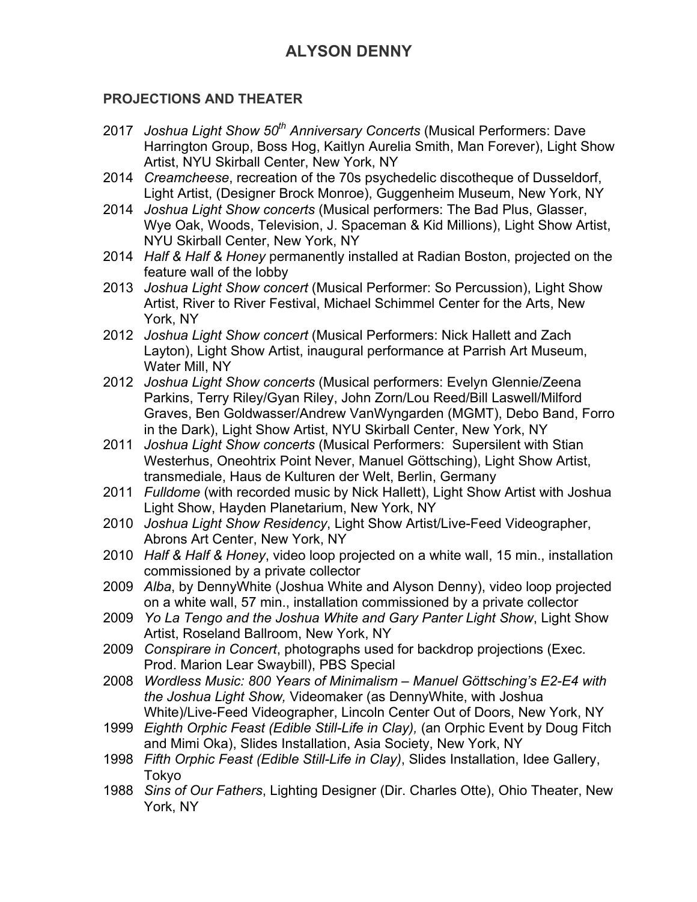## **PROJECTIONS AND THEATER**

- 2017 *Joshua Light Show 50th Anniversary Concerts* (Musical Performers: Dave Harrington Group, Boss Hog, Kaitlyn Aurelia Smith, Man Forever), Light Show Artist, NYU Skirball Center, New York, NY
- 2014 *Creamcheese*, recreation of the 70s psychedelic discotheque of Dusseldorf, Light Artist, (Designer Brock Monroe), Guggenheim Museum, New York, NY
- 2014 *Joshua Light Show concerts* (Musical performers: The Bad Plus, Glasser, Wye Oak, Woods, Television, J. Spaceman & Kid Millions), Light Show Artist, NYU Skirball Center, New York, NY
- 2014 *Half & Half & Honey* permanently installed at Radian Boston, projected on the feature wall of the lobby
- 2013 *Joshua Light Show concert* (Musical Performer: So Percussion), Light Show Artist, River to River Festival, Michael Schimmel Center for the Arts, New York, NY
- 2012 *Joshua Light Show concert* (Musical Performers: Nick Hallett and Zach Layton), Light Show Artist, inaugural performance at Parrish Art Museum, Water Mill, NY
- 2012 *Joshua Light Show concerts* (Musical performers: Evelyn Glennie/Zeena Parkins, Terry Riley/Gyan Riley, John Zorn/Lou Reed/Bill Laswell/Milford Graves, Ben Goldwasser/Andrew VanWyngarden (MGMT), Debo Band, Forro in the Dark), Light Show Artist, NYU Skirball Center, New York, NY
- 2011 *Joshua Light Show concerts* (Musical Performers: Supersilent with Stian Westerhus, Oneohtrix Point Never, Manuel Göttsching), Light Show Artist, transmediale, Haus de Kulturen der Welt, Berlin, Germany
- 2011 *Fulldome* (with recorded music by Nick Hallett), Light Show Artist with Joshua Light Show, Hayden Planetarium, New York, NY
- 2010 *Joshua Light Show Residency*, Light Show Artist/Live-Feed Videographer, Abrons Art Center, New York, NY
- 2010 *Half & Half & Honey*, video loop projected on a white wall, 15 min., installation commissioned by a private collector
- 2009 *Alba*, by DennyWhite (Joshua White and Alyson Denny), video loop projected on a white wall, 57 min., installation commissioned by a private collector
- 2009 *Yo La Tengo and the Joshua White and Gary Panter Light Show*, Light Show Artist, Roseland Ballroom, New York, NY
- 2009 *Conspirare in Concert*, photographs used for backdrop projections (Exec. Prod. Marion Lear Swaybill), PBS Special
- 2008 *Wordless Music: 800 Years of Minimalism – Manuel Göttsching's E2-E4 with the Joshua Light Show,* Videomaker (as DennyWhite, with Joshua White)/Live-Feed Videographer, Lincoln Center Out of Doors, New York, NY
- 1999 *Eighth Orphic Feast (Edible Still-Life in Clay),* (an Orphic Event by Doug Fitch and Mimi Oka), Slides Installation, Asia Society, New York, NY
- 1998 *Fifth Orphic Feast (Edible Still-Life in Clay)*, Slides Installation, Idee Gallery, Tokyo
- 1988 *Sins of Our Fathers*, Lighting Designer (Dir. Charles Otte), Ohio Theater, New York, NY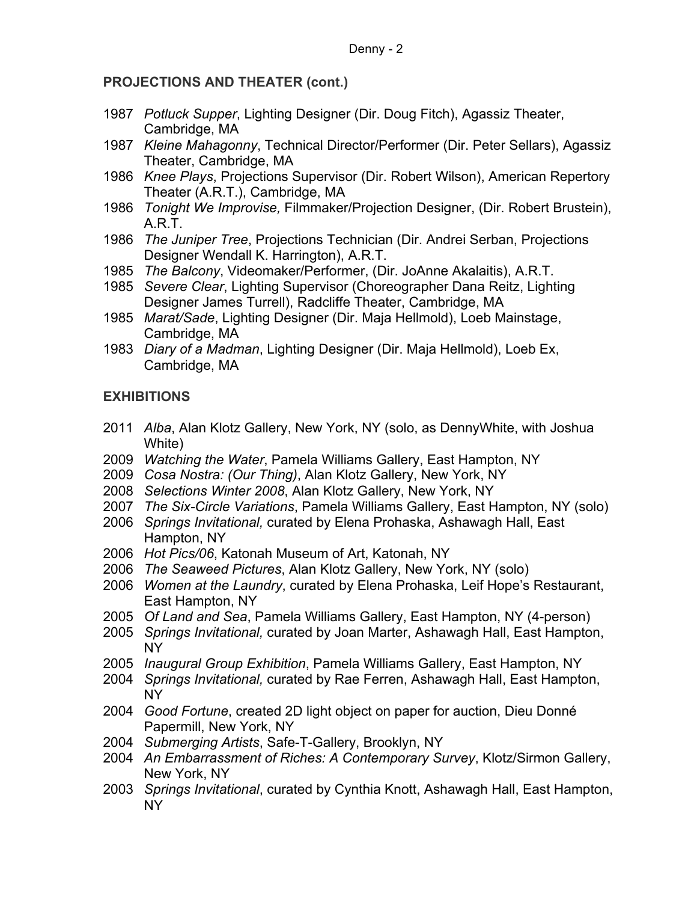## **PROJECTIONS AND THEATER (cont.)**

- 1987 *Potluck Supper*, Lighting Designer (Dir. Doug Fitch), Agassiz Theater, Cambridge, MA
- 1987 *Kleine Mahagonny*, Technical Director/Performer (Dir. Peter Sellars), Agassiz Theater, Cambridge, MA
- 1986 *Knee Plays*, Projections Supervisor (Dir. Robert Wilson), American Repertory Theater (A.R.T.), Cambridge, MA
- 1986 *Tonight We Improvise,* Filmmaker/Projection Designer, (Dir. Robert Brustein), A.R.T.
- 1986 *The Juniper Tree*, Projections Technician (Dir. Andrei Serban, Projections Designer Wendall K. Harrington), A.R.T.
- 1985 *The Balcony*, Videomaker/Performer, (Dir. JoAnne Akalaitis), A.R.T.
- 1985 *Severe Clear*, Lighting Supervisor (Choreographer Dana Reitz, Lighting Designer James Turrell), Radcliffe Theater, Cambridge, MA
- 1985 *Marat/Sade*, Lighting Designer (Dir. Maja Hellmold), Loeb Mainstage, Cambridge, MA
- 1983 *Diary of a Madman*, Lighting Designer (Dir. Maja Hellmold), Loeb Ex, Cambridge, MA

## **EXHIBITIONS**

- 2011 *Alba*, Alan Klotz Gallery, New York, NY (solo, as DennyWhite, with Joshua White)
- 2009 *Watching the Water*, Pamela Williams Gallery, East Hampton, NY
- 2009 *Cosa Nostra: (Our Thing)*, Alan Klotz Gallery, New York, NY
- 2008 *Selections Winter 2008*, Alan Klotz Gallery, New York, NY
- 2007 *The Six-Circle Variations*, Pamela Williams Gallery, East Hampton, NY (solo)
- 2006 *Springs Invitational,* curated by Elena Prohaska, Ashawagh Hall, East Hampton, NY
- 2006 *Hot Pics/06*, Katonah Museum of Art, Katonah, NY
- 2006 *The Seaweed Pictures*, Alan Klotz Gallery, New York, NY (solo)
- 2006 *Women at the Laundry*, curated by Elena Prohaska, Leif Hope's Restaurant, East Hampton, NY
- 2005 *Of Land and Sea*, Pamela Williams Gallery, East Hampton, NY (4-person)
- 2005 *Springs Invitational,* curated by Joan Marter, Ashawagh Hall, East Hampton, NY
- 2005 *Inaugural Group Exhibition*, Pamela Williams Gallery, East Hampton, NY
- 2004 *Springs Invitational,* curated by Rae Ferren, Ashawagh Hall, East Hampton, NY
- 2004 *Good Fortune*, created 2D light object on paper for auction, Dieu Donné Papermill, New York, NY
- 2004 *Submerging Artists*, Safe-T-Gallery, Brooklyn, NY
- 2004 *An Embarrassment of Riches: A Contemporary Survey*, Klotz/Sirmon Gallery, New York, NY
- 2003 *Springs Invitational*, curated by Cynthia Knott, Ashawagh Hall, East Hampton, NY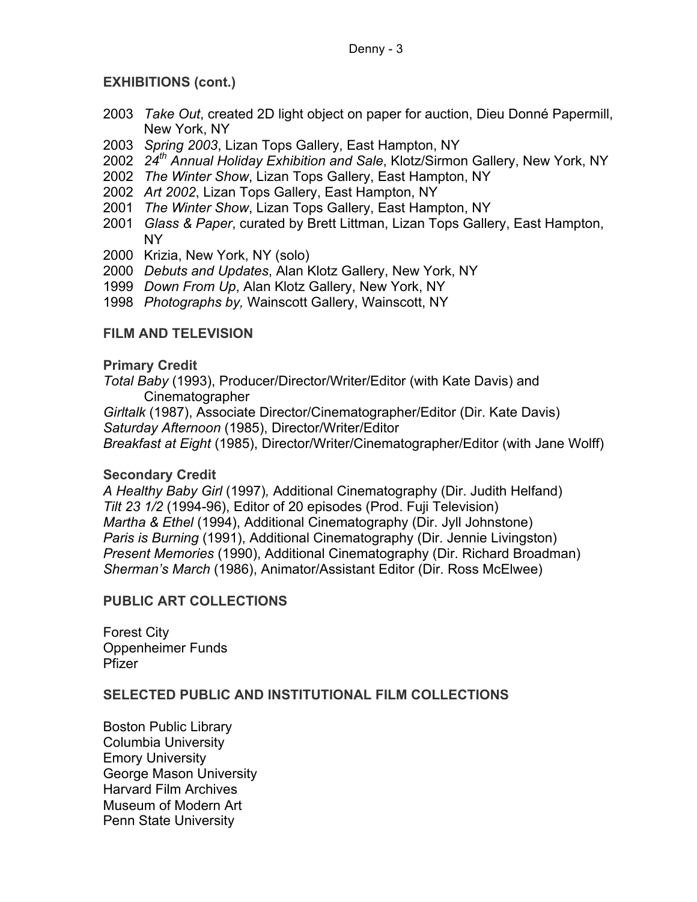# **EXHIBITIONS (cont.)**

- 2003 *Take Out*, created 2D light object on paper for auction, Dieu Donné Papermill, New York, NY
- 2003 *Spring 2003*, Lizan Tops Gallery, East Hampton, NY
- 2002 *24th Annual Holiday Exhibition and Sale*, Klotz/Sirmon Gallery, New York, NY
- 2002 *The Winter Show*, Lizan Tops Gallery, East Hampton, NY
- 2002 *Art 2002*, Lizan Tops Gallery, East Hampton, NY
- 2001 *The Winter Show*, Lizan Tops Gallery, East Hampton, NY
- 2001 *Glass & Paper*, curated by Brett Littman, Lizan Tops Gallery, East Hampton, NY
- 2000 Krizia, New York, NY (solo)
- 2000 *Debuts and Updates*, Alan Klotz Gallery, New York, NY
- 1999 *Down From Up*, Alan Klotz Gallery, New York, NY
- 1998 *Photographs by,* Wainscott Gallery, Wainscott, NY

# **FILM AND TELEVISION**

### **Primary Credit**

*Total Baby* (1993), Producer/Director/Writer/Editor (with Kate Davis) and Cinematographer

*Girltalk* (1987), Associate Director/Cinematographer/Editor (Dir. Kate Davis) *Saturday Afternoon* (1985), Director/Writer/Editor

*Breakfast at Eight* (1985), Director/Writer/Cinematographer/Editor (with Jane Wolff)

## **Secondary Credit**

*A Healthy Baby Girl* (1997)*,* Additional Cinematography (Dir. Judith Helfand) *Tilt 23 1/2* (1994-96), Editor of 20 episodes (Prod. Fuji Television) *Martha & Ethel* (1994), Additional Cinematography (Dir. Jyll Johnstone) *Paris is Burning* (1991), Additional Cinematography (Dir. Jennie Livingston) *Present Memories* (1990), Additional Cinematography (Dir. Richard Broadman) *Sherman's March* (1986), Animator/Assistant Editor (Dir. Ross McElwee)

## **PUBLIC ART COLLECTIONS**

Forest City Oppenheimer Funds Pfizer

## **SELECTED PUBLIC AND INSTITUTIONAL FILM COLLECTIONS**

Boston Public Library Columbia University Emory University George Mason University Harvard Film Archives Museum of Modern Art Penn State University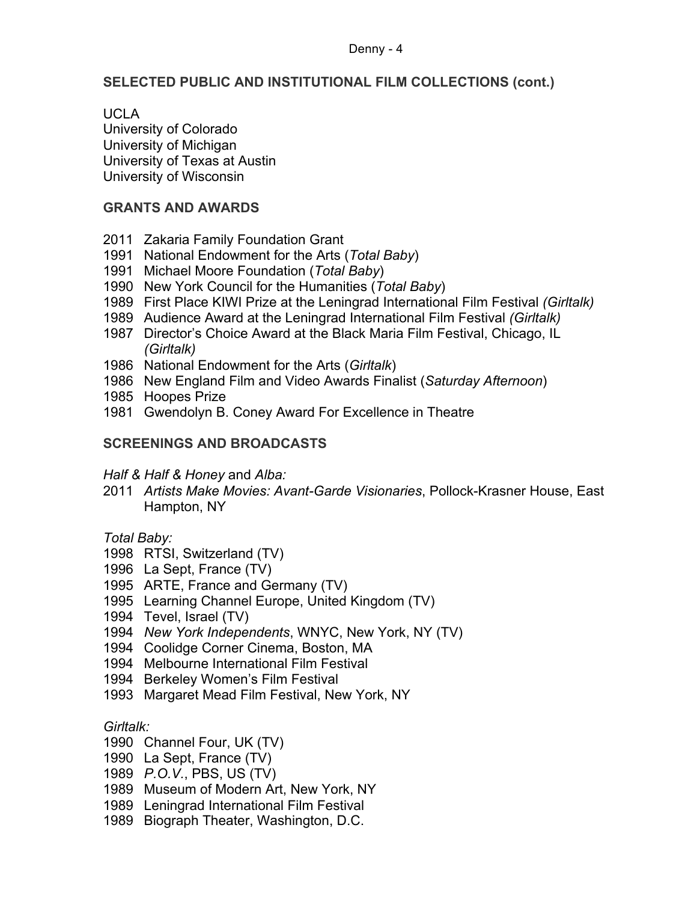#### Denny - 4

### **SELECTED PUBLIC AND INSTITUTIONAL FILM COLLECTIONS (cont.)**

UCLA

University of Colorado University of Michigan University of Texas at Austin University of Wisconsin

### **GRANTS AND AWARDS**

- Zakaria Family Foundation Grant
- National Endowment for the Arts (*Total Baby*)
- Michael Moore Foundation (*Total Baby*)
- New York Council for the Humanities (*Total Baby*)
- First Place KIWI Prize at the Leningrad International Film Festival *(Girltalk)*
- Audience Award at the Leningrad International Film Festival *(Girltalk)*
- Director's Choice Award at the Black Maria Film Festival, Chicago, IL *(Girltalk)*
- National Endowment for the Arts (*Girltalk*)
- New England Film and Video Awards Finalist (*Saturday Afternoon*)
- Hoopes Prize
- Gwendolyn B. Coney Award For Excellence in Theatre

## **SCREENINGS AND BROADCASTS**

### *Half & Half & Honey* and *Alba:*

 *Artists Make Movies: Avant-Garde Visionaries*, Pollock-Krasner House, East Hampton, NY

*Total Baby:*

- RTSI, Switzerland (TV)
- La Sept, France (TV)
- ARTE, France and Germany (TV)
- Learning Channel Europe, United Kingdom (TV)
- Tevel, Israel (TV)
- *New York Independents*, WNYC, New York, NY (TV)
- Coolidge Corner Cinema, Boston, MA
- Melbourne International Film Festival
- Berkeley Women's Film Festival
- Margaret Mead Film Festival, New York, NY

### *Girltalk:*

- Channel Four, UK (TV)
- La Sept, France (TV)
- *P.O.V.*, PBS, US (TV)
- Museum of Modern Art, New York, NY
- Leningrad International Film Festival
- Biograph Theater, Washington, D.C.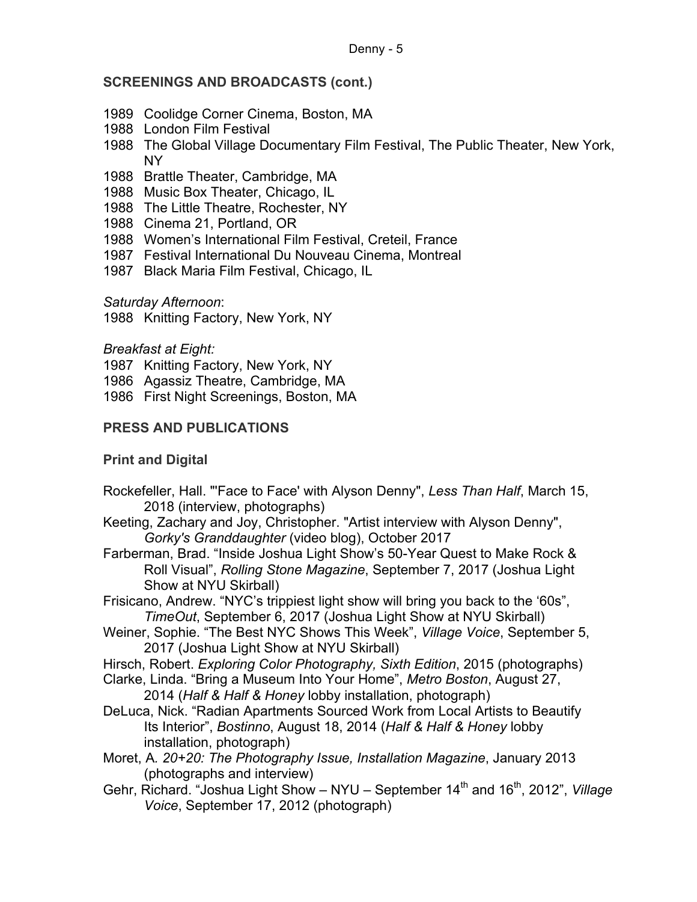### **SCREENINGS AND BROADCASTS (cont.)**

- 1989 Coolidge Corner Cinema, Boston, MA
- 1988 London Film Festival
- 1988 The Global Village Documentary Film Festival, The Public Theater, New York, NY
- 1988 Brattle Theater, Cambridge, MA
- 1988 Music Box Theater, Chicago, IL
- 1988 The Little Theatre, Rochester, NY
- 1988 Cinema 21, Portland, OR
- 1988 Women's International Film Festival, Creteil, France
- 1987 Festival International Du Nouveau Cinema, Montreal
- 1987 Black Maria Film Festival, Chicago, IL

*Saturday Afternoon*:

1988 Knitting Factory, New York, NY

*Breakfast at Eight:*

1987 Knitting Factory, New York, NY

1986 Agassiz Theatre, Cambridge, MA

1986 First Night Screenings, Boston, MA

## **PRESS AND PUBLICATIONS**

## **Print and Digital**

- Rockefeller, Hall. "'Face to Face' with Alyson Denny", *Less Than Half*, March 15, 2018 (interview, photographs)
- Keeting, Zachary and Joy, Christopher. "Artist interview with Alyson Denny", *Gorky's Granddaughter* (video blog), October 2017
- Farberman, Brad. "Inside Joshua Light Show's 50-Year Quest to Make Rock & Roll Visual", *Rolling Stone Magazine*, September 7, 2017 (Joshua Light Show at NYU Skirball)
- Frisicano, Andrew. "NYC's trippiest light show will bring you back to the '60s", *TimeOut*, September 6, 2017 (Joshua Light Show at NYU Skirball)
- Weiner, Sophie. "The Best NYC Shows This Week", *Village Voice*, September 5, 2017 (Joshua Light Show at NYU Skirball)
- Hirsch, Robert. *Exploring Color Photography, Sixth Edition*, 2015 (photographs)
- Clarke, Linda. "Bring a Museum Into Your Home", *Metro Boston*, August 27, 2014 (*Half & Half & Honey* lobby installation, photograph)
- DeLuca, Nick. "Radian Apartments Sourced Work from Local Artists to Beautify Its Interior", *Bostinno*, August 18, 2014 (*Half & Half & Honey* lobby installation, photograph)
- Moret, A*. 20+20: The Photography Issue, Installation Magazine*, January 2013 (photographs and interview)
- Gehr, Richard. "Joshua Light Show NYU September 14<sup>th</sup> and 16<sup>th</sup>, 2012", *Village Voice*, September 17, 2012 (photograph)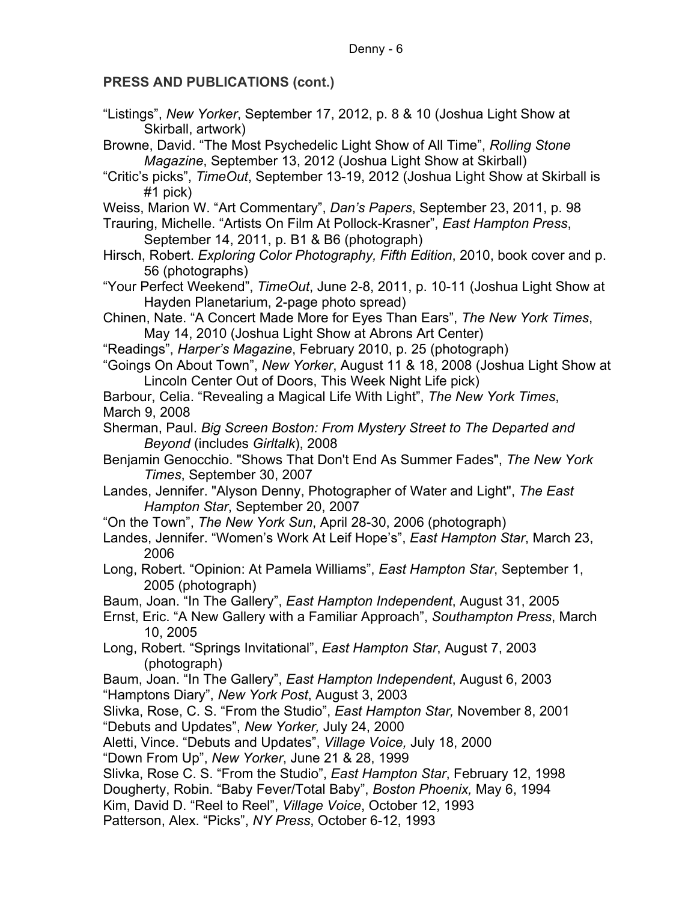#### Denny - 6

## **PRESS AND PUBLICATIONS (cont.)**

"Listings", *New Yorker*, September 17, 2012, p. 8 & 10 (Joshua Light Show at Skirball, artwork)

Browne, David. "The Most Psychedelic Light Show of All Time", *Rolling Stone Magazine*, September 13, 2012 (Joshua Light Show at Skirball)

- "Critic's picks", *TimeOut*, September 13-19, 2012 (Joshua Light Show at Skirball is #1 pick)
- Weiss, Marion W. "Art Commentary", *Dan's Papers*, September 23, 2011, p. 98
- Trauring, Michelle. "Artists On Film At Pollock-Krasner", *East Hampton Press*, September 14, 2011, p. B1 & B6 (photograph)
- Hirsch, Robert. *Exploring Color Photography, Fifth Edition*, 2010, book cover and p. 56 (photographs)
- "Your Perfect Weekend", *TimeOut*, June 2-8, 2011, p. 10-11 (Joshua Light Show at Hayden Planetarium, 2-page photo spread)
- Chinen, Nate. "A Concert Made More for Eyes Than Ears", *The New York Times*, May 14, 2010 (Joshua Light Show at Abrons Art Center)
- "Readings", *Harper's Magazine*, February 2010, p. 25 (photograph)
- "Goings On About Town", *New Yorker*, August 11 & 18, 2008 (Joshua Light Show at Lincoln Center Out of Doors, This Week Night Life pick)

Barbour, Celia. "Revealing a Magical Life With Light", *The New York Times*, March 9, 2008

- Sherman, Paul. *Big Screen Boston: From Mystery Street to The Departed and Beyond* (includes *Girltalk*), 2008
- Benjamin Genocchio. "Shows That Don't End As Summer Fades", *The New York Times*, September 30, 2007
- Landes, Jennifer. "Alyson Denny, Photographer of Water and Light", *The East Hampton Star*, September 20, 2007
- "On the Town", *The New York Sun*, April 28-30, 2006 (photograph)
- Landes, Jennifer. "Women's Work At Leif Hope's", *East Hampton Star*, March 23, 2006
- Long, Robert. "Opinion: At Pamela Williams", *East Hampton Star*, September 1, 2005 (photograph)
- Baum, Joan. "In The Gallery", *East Hampton Independent*, August 31, 2005
- Ernst, Eric. "A New Gallery with a Familiar Approach", *Southampton Press*, March 10, 2005
- Long, Robert. "Springs Invitational", *East Hampton Star*, August 7, 2003 (photograph)
- Baum, Joan. "In The Gallery", *East Hampton Independent*, August 6, 2003 "Hamptons Diary", *New York Post*, August 3, 2003
- Slivka, Rose, C. S. "From the Studio", *East Hampton Star,* November 8, 2001 "Debuts and Updates", *New Yorker,* July 24, 2000

Aletti, Vince. "Debuts and Updates", *Village Voice,* July 18, 2000

- "Down From Up", *New Yorker*, June 21 & 28, 1999
- Slivka, Rose C. S. "From the Studio", *East Hampton Star*, February 12, 1998
- Dougherty, Robin. "Baby Fever/Total Baby", *Boston Phoenix,* May 6, 1994
- Kim, David D. "Reel to Reel", *Village Voice*, October 12, 1993

Patterson, Alex. "Picks", *NY Press*, October 6-12, 1993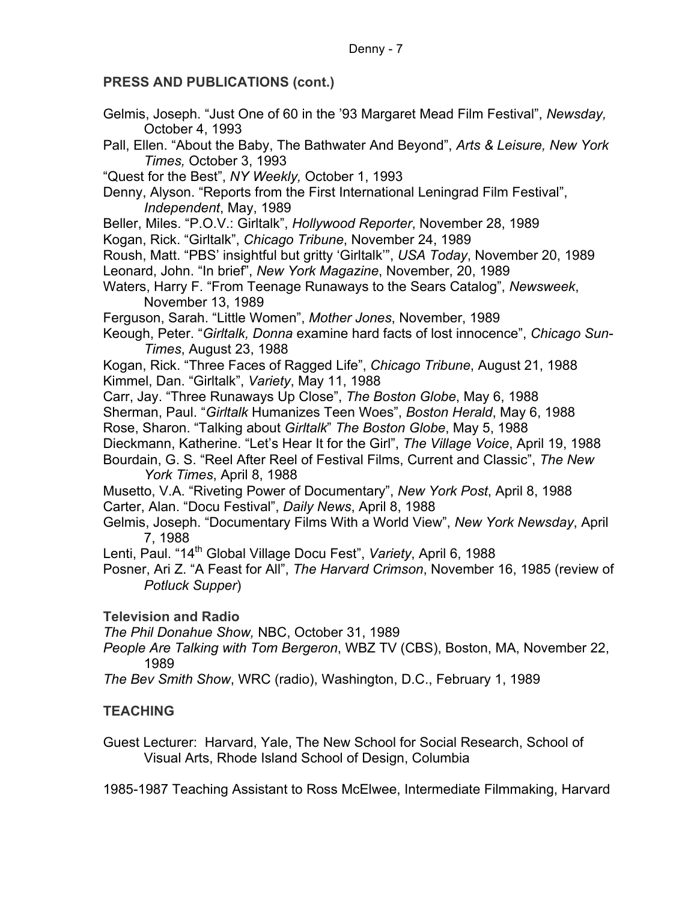#### Denny - 7

### **PRESS AND PUBLICATIONS (cont.)**

- Gelmis, Joseph. "Just One of 60 in the '93 Margaret Mead Film Festival", *Newsday,*  October 4, 1993
- Pall, Ellen. "About the Baby, The Bathwater And Beyond", *Arts & Leisure, New York Times,* October 3, 1993

"Quest for the Best", *NY Weekly,* October 1, 1993

Denny, Alyson. "Reports from the First International Leningrad Film Festival", *Independent*, May, 1989

Beller, Miles. "P.O.V.: Girltalk", *Hollywood Reporter*, November 28, 1989

Kogan, Rick. "Girltalk", *Chicago Tribune*, November 24, 1989

Roush, Matt. "PBS' insightful but gritty 'Girltalk'", *USA Today*, November 20, 1989 Leonard, John. "In brief", *New York Magazine*, November, 20, 1989

Waters, Harry F. "From Teenage Runaways to the Sears Catalog", *Newsweek*, November 13, 1989

Ferguson, Sarah. "Little Women", *Mother Jones*, November, 1989

Keough, Peter. "*Girltalk, Donna* examine hard facts of lost innocence", *Chicago Sun-Times*, August 23, 1988

Kogan, Rick. "Three Faces of Ragged Life", *Chicago Tribune*, August 21, 1988 Kimmel, Dan. "Girltalk", *Variety*, May 11, 1988

Carr, Jay. "Three Runaways Up Close", *The Boston Globe*, May 6, 1988

Sherman, Paul. "*Girltalk* Humanizes Teen Woes", *Boston Herald*, May 6, 1988

- Rose, Sharon. "Talking about *Girltalk*" *The Boston Globe*, May 5, 1988
- Dieckmann, Katherine. "Let's Hear It for the Girl", *The Village Voice*, April 19, 1988
- Bourdain, G. S. "Reel After Reel of Festival Films, Current and Classic", *The New York Times*, April 8, 1988

Musetto, V.A. "Riveting Power of Documentary", *New York Post*, April 8, 1988 Carter, Alan. "Docu Festival", *Daily News*, April 8, 1988

Gelmis, Joseph. "Documentary Films With a World View", *New York Newsday*, April 7, 1988

Lenti, Paul. "14<sup>th</sup> Global Village Docu Fest", Variety, April 6, 1988

Posner, Ari Z. "A Feast for All", *The Harvard Crimson*, November 16, 1985 (review of *Potluck Supper*)

**Television and Radio**

*The Phil Donahue Show,* NBC, October 31, 1989

*People Are Talking with Tom Bergeron*, WBZ TV (CBS), Boston, MA, November 22, 1989

*The Bev Smith Show*, WRC (radio), Washington, D.C., February 1, 1989

## **TEACHING**

Guest Lecturer: Harvard, Yale, The New School for Social Research, School of Visual Arts, Rhode Island School of Design, Columbia

1985-1987 Teaching Assistant to Ross McElwee, Intermediate Filmmaking, Harvard